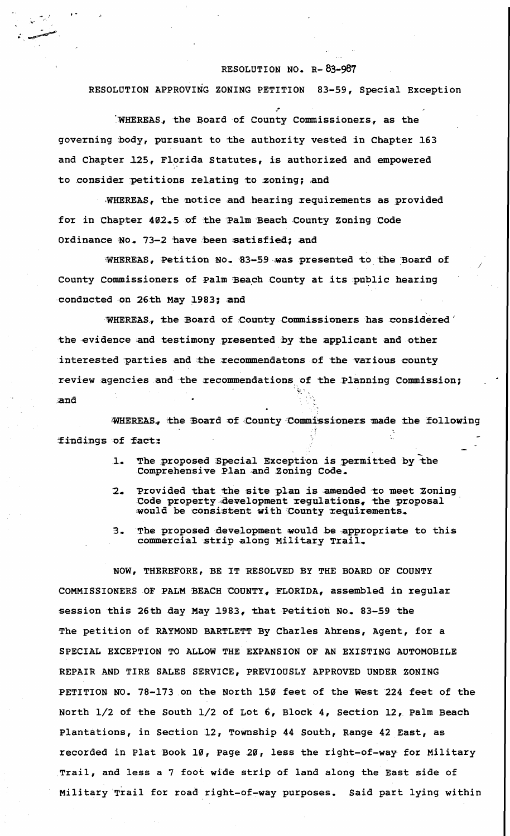## RESOLUTION NO. R-83-987

RESOLUTION APPROVING ZONING PETITION 83-59, Special Exception

WHEREAS, the Board of County Commissioners, as the governing body, pursuant to the authority vested in Chapter 163 and Chapter 125, Florida Statutes, is authorized and empowered to consider petitions relating to zoning; and

WHEREAS, the notice and hearing requirements as provided for in Chapter 402.5 of the Palm Beach County Zoning Code Ordinance No. 73-2 have been satisfied; and

WHEREAS, Petition No. 83-59 was presented to the Board of County Commissioners of Palm Beach County at its public hearing conducted on 26th May 1983; and

WHEREAS, the Board of County Commissioners has considered the evidence and testimony presented by the applicant and other interested parties and the recommendatons of the various county review agencies and the recommendations of the Planning Commission; and

WHEREAS, the Board of County Commissioners made the following findings of fact:

- The proposed Special Exception is permitted by the  $\mathbf{1}$ Comprehensive Plan and Zoning Code.
- $2 -$ Provided that the site plan is amended to meet Zoning Code property development regulations, the proposal would be consistent with County requirements.
- The proposed development would be appropriate to this  $3$ commercial strip along Military Trail.

NOW, THEREFORE, BE IT RESOLVED BY THE BOARD OF COUNTY COMMISSIONERS OF PALM BEACH COUNTY, FLORIDA, assembled in regular session this 26th day May 1983, that Petition No. 83-59 the The petition of RAYMOND BARTLETT By Charles Ahrens, Agent, for a SPECIAL EXCEPTION TO ALLOW THE EXPANSION OF AN EXISTING AUTOMOBILE REPAIR AND TIRE SALES SERVICE, PREVIOUSLY APPROVED UNDER ZONING PETITION NO. 78-173 on the North 150 feet of the West 224 feet of the North 1/2 of the South 1/2 of Lot 6, Block 4, Section 12, Palm Beach Plantations, in Section 12, Township 44 South, Range 42 East, as recorded in Plat Book 10, Page 20, less the right-of-way for Military Trail, and less a 7 foot wide strip of land along the East side of Military Trail for road right-of-way purposes. Said part lying within